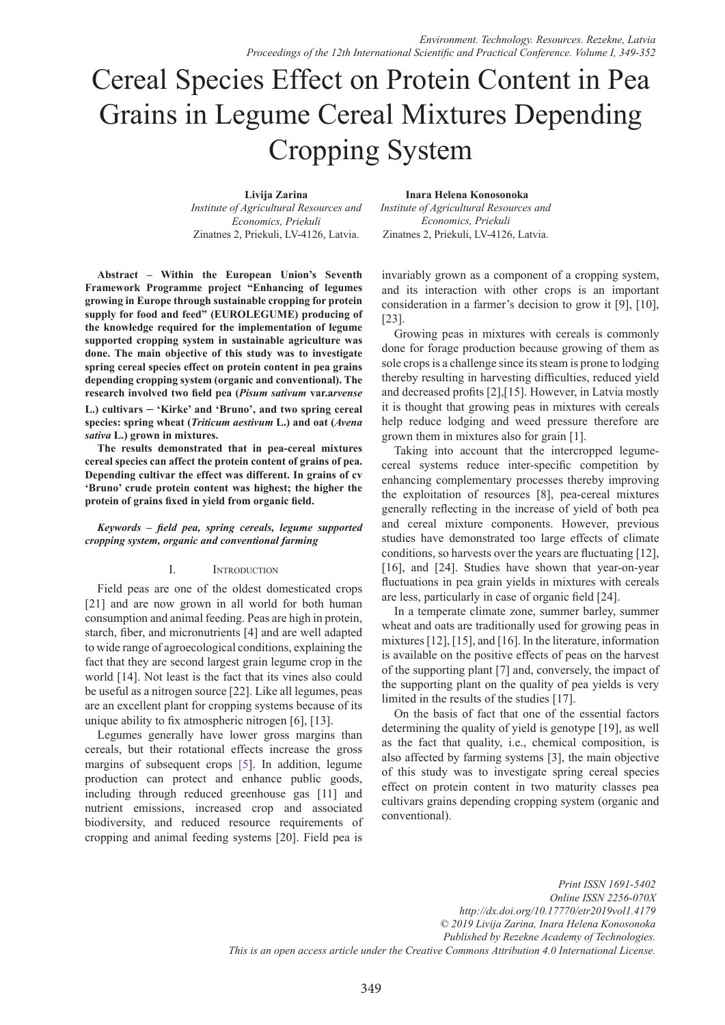# Cereal Species Effect on Protein Content in Pea Grains in Legume Cereal Mixtures Depending Cropping System

#### **Livija Zarina**

 **Inara Helena Konosonoka**

*Institute of Agricultural Resources and Economics, Priekuli*  Zinatnes 2, Priekuli, LV-4126, Latvia.

*Institute of Agricultural Resources and Economics, Priekuli*  Zinatnes 2, Priekuli, LV-4126, Latvia.

**Abstract – Within the European Union's Seventh Framework Programme project "Enhancing of legumes growing in Europe through sustainable cropping for protein supply for food and feed" (EUROLEGUME) producing of the knowledge required for the implementation of legume supported cropping system in sustainable agriculture was done. The main objective of this study was to investigate spring cereal species effect on protein content in pea grains depending cropping system (organic and conventional). The research involved two field pea (***Pisum sativum* **var.a***rvense* **L.) cultivars – 'Kirke' and 'Bruno', and two spring cereal species: spring wheat (***Triticum aestivum* **L.) and oat (***Avena sativa* **L.) grown in mixtures.**

**The results demonstrated that in pea-cereal mixtures cereal species can affect the protein content of grains of pea. Depending cultivar the effect was different. In grains of cv 'Bruno' crude protein content was highest; the higher the protein of grains fixed in yield from organic field.**

### *Keywords – field pea, spring cereals, legume supported cropping system, organic and conventional farming*

## I. Introduction

Field peas are one of the oldest domesticated crops [21] and are now grown in all world for both human consumption and animal feeding. Peas are high in protein, starch, fiber, and micronutrients [4] and are well adapted to wide range of agroecological conditions, explaining the fact that they are second largest grain legume crop in the world [14]. Not least is the fact that its vines also could be useful as a nitrogen source [22]. Like all legumes, peas are an excellent plant for cropping systems because of its unique ability to fix atmospheric nitrogen [6], [13].

Legumes generally have lower gross margins than cereals, but their rotational effects increase the gross margins of subsequent crops [5]. In addition, legume production can protect and enhance public goods, including through reduced greenhouse gas [11] and nutrient emissions, increased crop and associated biodiversity, and reduced resource requirements of cropping and animal feeding systems [20]. Field pea is

invariably grown as a component of a cropping system, and its interaction with other crops is an important consideration in a farmer's decision to grow it [9], [10], [23].

Growing peas in mixtures with cereals is commonly done for forage production because growing of them as sole crops is a challenge since its steam is prone to lodging thereby resulting in harvesting difficulties, reduced yield and decreased profits [2],[15]. However, in Latvia mostly it is thought that growing peas in mixtures with cereals help reduce lodging and weed pressure therefore are grown them in mixtures also for grain [1].

Taking into account that the intercropped legumecereal systems reduce inter-specific competition by enhancing complementary processes thereby improving the exploitation of resources [8], pea-cereal mixtures generally reflecting in the increase of yield of both pea and cereal mixture components. However, previous studies have demonstrated too large effects of climate conditions, so harvests over the years are fluctuating [12], [16], and [24]. Studies have shown that year-on-year fluctuations in pea grain yields in mixtures with cereals are less, particularly in case of organic field [24].

In a temperate climate zone, summer barley, summer wheat and oats are traditionally used for growing peas in mixtures [12], [15], and [16]. In the literature, information is available on the positive effects of peas on the harvest of the supporting plant [7] and, conversely, the impact of the supporting plant on the quality of pea yields is very limited in the results of the studies [17].

On the basis of fact that one of the essential factors determining the quality of yield is genotype [19], as well as the fact that quality, i.e., chemical composition, is also affected by farming systems [3], the main objective of this study was to investigate spring cereal species effect on protein content in two maturity classes pea cultivars grains depending cropping system (organic and conventional).

*Print ISSN 1691-5402 Online ISSN 2256-070X http://dx.doi.org/10.17770/etr2019vol1.4179 © 2019 Livija Zarina, Inara Helena Konosonoka Published by Rezekne Academy of Technologies. This is an open access article under the Creative Commons Attribution 4.0 International License.*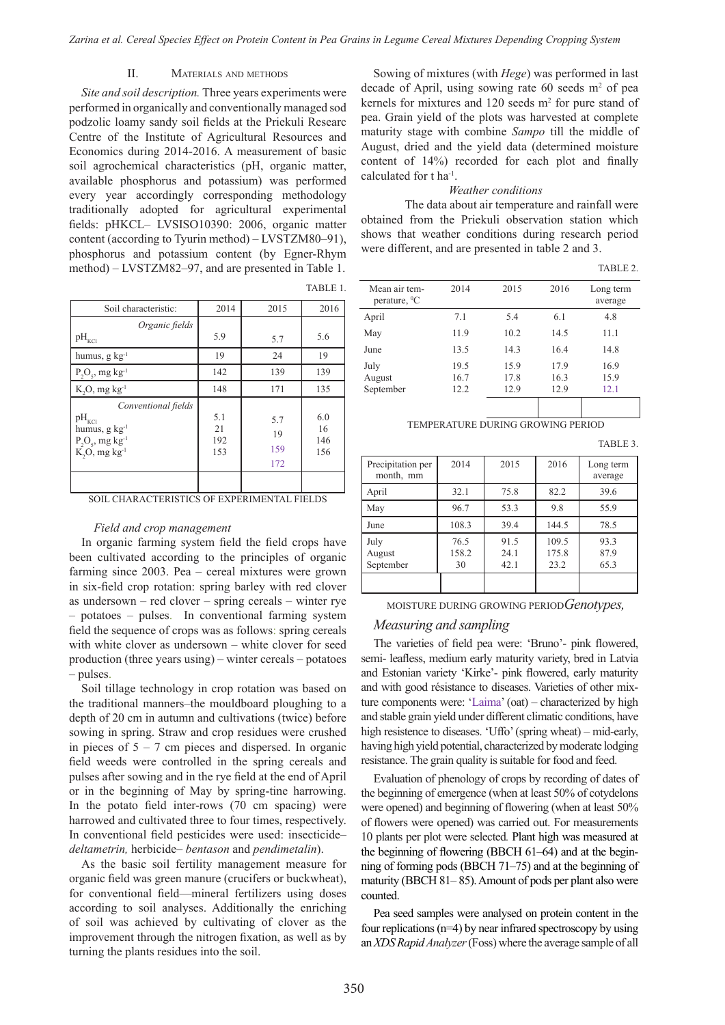TABLE 1.

# II. Materials and methods

*Site and soil description.* Three years experiments were performed in organically and conventionally managed sod podzolic loamy sandy soil fields at the Priekuli Researc Centre of the Institute of Agricultural Resources and Economics during 2014-2016. A measurement of basic soil agrochemical characteristics (pH, organic matter, available phosphorus and potassium) was performed every year accordingly corresponding methodology traditionally adopted for agricultural experimental fields: pHKCL– LVSISO10390: 2006, organic matter content (according to Tyurin method) – LVSTZM80–91), phosphorus and potassium content (by Egner-Rhym method) – LVSTZM82–97, and are presented in Table 1.

| Soil characteristic:                                                                                                         | 2014                    | 2015                    | 2016                    |
|------------------------------------------------------------------------------------------------------------------------------|-------------------------|-------------------------|-------------------------|
| Organic fields<br>$\rm pH_{\rm KCl}$                                                                                         | 5.9                     | 5.7                     | 5.6                     |
| humus, g $kg^{-1}$                                                                                                           | 19                      | 24                      | 19                      |
| $P_2O_5$ , mg kg <sup>-1</sup>                                                                                               | 142                     | 139                     | 139                     |
| $K, O, mg kg^{-1}$                                                                                                           | 148                     | 171                     | 135                     |
| Conventional fields<br>$\rm pH_{\rm KCl}$<br>humus, $g \text{ kg}^{-1}$<br>$P_2O_5$ , mg kg <sup>-1</sup><br>$K, O, mg kg-1$ | 5.1<br>21<br>192<br>153 | 5.7<br>19<br>159<br>172 | 6.0<br>16<br>146<br>156 |
|                                                                                                                              |                         |                         |                         |

## *Field and crop management*

In organic farming system field the field crops have been cultivated according to the principles of organic farming since 2003. Pea – cereal mixtures were grown in six-field crop rotation: spring barley with red clover as undersown – red clover – spring cereals – winter rye – potatoes – pulses. In conventional farming system field the sequence of crops was as follows: spring cereals with white clover as undersown – white clover for seed production (three years using) – winter cereals – potatoes – pulses.

Soil tillage technology in crop rotation was based on the traditional manners–the mouldboard ploughing to a depth of 20 cm in autumn and cultivations (twice) before sowing in spring. Straw and crop residues were crushed in pieces of  $5 - 7$  cm pieces and dispersed. In organic field weeds were controlled in the spring cereals and pulses after sowing and in the rye field at the end of April or in the beginning of May by spring-tine harrowing. In the potato field inter-rows (70 cm spacing) were harrowed and cultivated three to four times, respectively. In conventional field pesticides were used: insecticide– *deltametrin,* herbicide– *bentason* and *pendimetalin*).

As the basic soil fertility management measure for organic field was green manure (crucifers or buckwheat), for conventional field—mineral fertilizers using doses according to soil analyses. Additionally the enriching of soil was achieved by cultivating of clover as the improvement through the nitrogen fixation, as well as by turning the plants residues into the soil.

Sowing of mixtures (with *Hege*) was performed in last decade of April, using sowing rate  $60$  seeds  $m<sup>2</sup>$  of pea kernels for mixtures and  $120$  seeds  $m<sup>2</sup>$  for pure stand of pea. Grain yield of the plots was harvested at complete maturity stage with combine *Sampo* till the middle of August, dried and the yield data (determined moisture content of 14%) recorded for each plot and finally calculated for t ha-1.

#### *Weather conditions*

The data about air temperature and rainfall were obtained from the Priekuli observation station which shows that weather conditions during research period were different, and are presented in table 2 and 3.

|                                    |      |      |      | TABLE 2.             |
|------------------------------------|------|------|------|----------------------|
| Mean air tem-<br>perature, ${}^0C$ | 2014 | 2015 | 2016 | Long term<br>average |
| April                              | 7.1  | 5.4  | 6.1  | 4.8                  |
| May                                | 11.9 | 10.2 | 14.5 | 11.1                 |
| June                               | 13.5 | 14.3 | 16.4 | 14.8                 |
| July                               | 19.5 | 15.9 | 17.9 | 16.9                 |
| August                             | 16.7 | 17.8 | 16.3 | 15.9                 |
| September                          | 12.2 | 12.9 | 12.9 | 12.1                 |
|                                    |      |      |      |                      |

TEMPERATURE DURING GROWING PERIOD

TABLE 3.

| Precipitation per<br>month, mm | 2014                | 2015                 | 2016                   | Long term<br>average |
|--------------------------------|---------------------|----------------------|------------------------|----------------------|
| April                          | 32.1                | 75.8                 | 82.2                   | 39.6                 |
| May                            | 96.7                | 53.3                 | 9.8                    | 55.9                 |
| June                           | 108.3               | 39.4                 | 144.5                  | 78.5                 |
| July<br>August<br>September    | 76.5<br>158.2<br>30 | 91.5<br>24.1<br>42.1 | 109.5<br>175.8<br>23.2 | 93.3<br>87.9<br>65.3 |

MOISTURE DURING GROWING PERIOD*Genotypes,* 

# *Measuring and sampling*

The varieties of field pea were: 'Bruno'- pink flowered, semi- leafless, medium early maturity variety, bred in Latvia and Estonian variety 'Kirke'- pink flowered, early maturity and with good résistance to diseases. Varieties of other mixture components were: 'Laima' (oat) *–* characterized by high and stable grain yield under different climatic conditions, have high resistence to diseases. 'Uffo' (spring wheat) *–* mid-early, having high yield potential, characterized by moderate lodging resistance. The grain quality is suitable for food and feed.

Evaluation of phenology of crops by recording of dates of the beginning of emergence (when at least 50% of cotydelons were opened) and beginning of flowering (when at least 50% of flowers were opened) was carried out. For measurements 10 plants per plot were selected*.* Plant high was measured at the beginning of flowering (BBCH 61*–*64) and at the beginning of forming pods (BBCH 71*–*75) and at the beginning of maturity (BBCH 81*–* 85). Amount of pods per plant also were counted.

Pea seed samples were analysed on protein content in the four replications (n=4) by near infrared spectroscopy by using an *XDS Rapid Analyzer* (Foss) where the average sample of all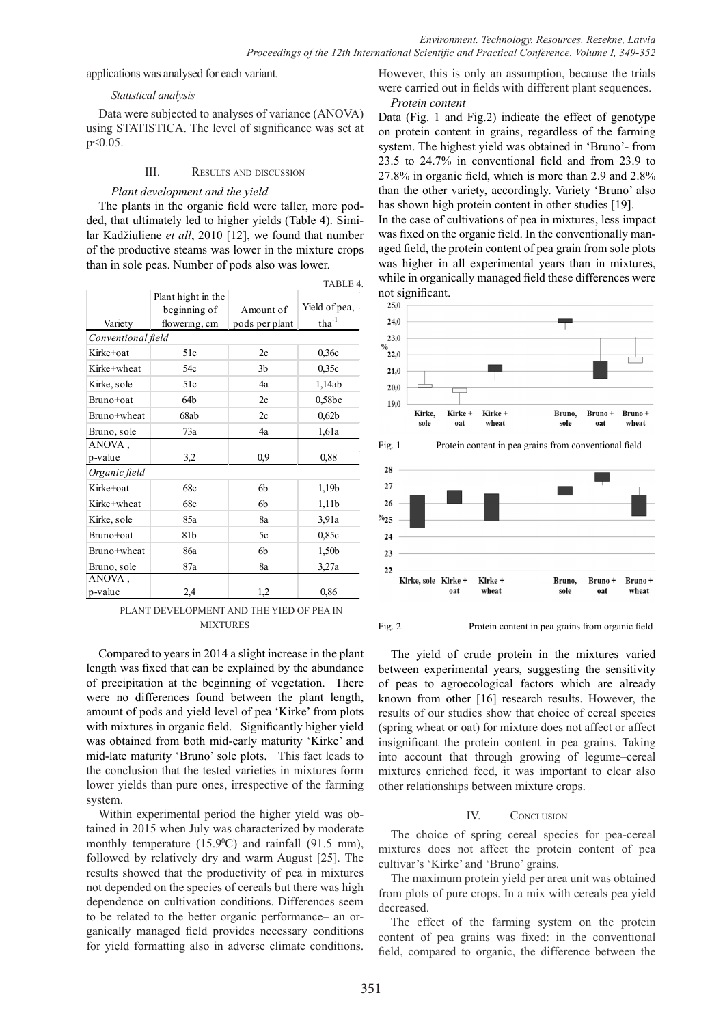applications was analysed for each variant.

## *Statistical analysis*

Data were subjected to analyses of variance (ANOVA) using STATISTICA. The level of significance was set at p<0.05.

# III. Results and discussion

# *Plant development and the yield*

The plants in the organic field were taller, more podded, that ultimately led to higher yields (Table 4). Similar Kadžiuliene *et all*, 2010 [12], we found that number of the productive steams was lower in the mixture crops than in sole peas. Number of pods also was lower.

|               |                    |                | TABLE 4.          |  |  |  |
|---------------|--------------------|----------------|-------------------|--|--|--|
|               | Plant hight in the |                |                   |  |  |  |
|               | beginning of       | Amount of      | Yield of pea,     |  |  |  |
| Variety       | flowering, cm      | pods per plant | $\text{tha}^{-1}$ |  |  |  |
|               | Conventional field |                |                   |  |  |  |
| Kirke+oat     | 51c                | 2c             | 0,36c             |  |  |  |
| Kirke+wheat   | 54c                | 3 <sub>b</sub> | 0,35c             |  |  |  |
| Kirke, sole   | 51c                | 4a             | 1,14ab            |  |  |  |
| Bruno+oat     | 64 <sub>b</sub>    | 2c             | 0,58bc            |  |  |  |
| Bruno+wheat   | 68ab               | 2c             | 0,62b             |  |  |  |
| Bruno, sole   | 73a                | 4a             | 1,61a             |  |  |  |
| ANOVA,        |                    |                |                   |  |  |  |
| p-value       | 3,2                | 0,9            | 0,88              |  |  |  |
| Organic field |                    |                |                   |  |  |  |
| Kirke+oat     | 68c                | 6b             | 1,19b             |  |  |  |
| Kirke+wheat   | 68c                | 6b             | 1,11b             |  |  |  |
| Kirke, sole   | 85a                | 8a             | 3,91a             |  |  |  |
| Bruno+oat     | 81b                | 5c             | 0,85c             |  |  |  |
| Bruno+wheat   | 86a                | 6b             | 1,50b             |  |  |  |
| Bruno, sole   | 87a                | 8a             | 3,27a             |  |  |  |
| ANOVA,        |                    |                |                   |  |  |  |
| p-value       | 2,4                | 1,2            | 0,86              |  |  |  |

PLANT DEVELOPMENT AND THE YIED OF PEA IN MIXTURES

Compared to years in 2014 a slight increase in the plant length was fixed that can be explained by the abundance of precipitation at the beginning of vegetation. There were no differences found between the plant length, amount of pods and yield level of pea 'Kirke' from plots with mixtures in organic field. Significantly higher yield was obtained from both mid-early maturity 'Kirke' and mid-late maturity 'Bruno' sole plots. This fact leads to the conclusion that the tested varieties in mixtures form lower yields than pure ones, irrespective of the farming system.

Within experimental period the higher yield was obtained in 2015 when July was characterized by moderate monthly temperature  $(15.9^{\circ}C)$  and rainfall  $(91.5 \text{ mm})$ , followed by relatively dry and warm August [25]. The results showed that the productivity of pea in mixtures not depended on the species of cereals but there was high dependence on cultivation conditions. Differences seem to be related to the better organic performance– an organically managed field provides necessary conditions for yield formatting also in adverse climate conditions.

However, this is only an assumption, because the trials were carried out in fields with different plant sequences. *Protein content*

Data (Fig. 1 and Fig.2) indicate the effect of genotype on protein content in grains, regardless of the farming system. The highest yield was obtained in 'Bruno'- from 23.5 to 24.7% in conventional field and from 23.9 to 27.8% in organic field, which is more than 2.9 and 2.8% than the other variety, accordingly. Variety 'Bruno' also has shown high protein content in other studies [19].

In the case of cultivations of pea in mixtures, less impact was fixed on the organic field. In the conventionally managed field, the protein content of pea grain from sole plots was higher in all experimental years than in mixtures, while in organically managed field these differences were not significant.







Fig. 2. Protein content in pea grains from organic field

The yield of crude protein in the mixtures varied between experimental years, suggesting the sensitivity of peas to agroecological factors which are already known from other [16] research results. However, the results of our studies show that choice of cereal species (spring wheat or oat) for mixture does not affect or affect insignificant the protein content in pea grains. Taking into account that through growing of legume–cereal mixtures enriched feed, it was important to clear also other relationships between mixture crops.

# IV. CONCLUSION

The choice of spring cereal species for pea-cereal mixtures does not affect the protein content of pea cultivar's 'Kirke' and 'Bruno' grains.

The maximum protein yield per area unit was obtained from plots of pure crops. In a mix with cereals pea yield decreased.

The effect of the farming system on the protein content of pea grains was fixed: in the conventional field, compared to organic, the difference between the